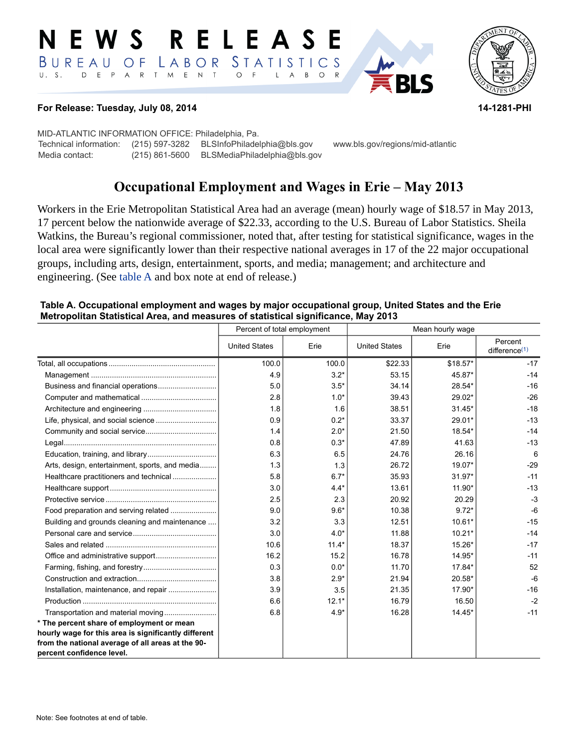#### E W S **RELEASE** LABOR STATISTICS BUREAU OF D E P A R T M E N T  $\circ$  $U. S.$  $\overline{F}$  $\mathsf{L}$  $\overline{A}$  $B$  $\circ$  $R$



#### **For Release: Tuesday, July 08, 2014 14-1281-PHI**

MID-ATLANTIC INFORMATION OFFICE: Philadelphia, Pa. Technical information: (215) 597-3282 BLSInfoPhiladelphia@bls.gov www.bls.gov/regions/mid-atlantic Media contact: (215) 861-5600 BLSMediaPhiladelphia@bls.gov

# **Occupational Employment and Wages in Erie – May 2013**

Workers in the Erie Metropolitan Statistical Area had an average (mean) hourly wage of \$18.57 in May 2013, 17 percent below the nationwide average of \$22.33, according to the U.S. Bureau of Labor Statistics. Sheila Watkins, the Bureau's regional commissioner, noted that, after testing for statistical significance, wages in the local area were significantly lower than their respective national averages in 17 of the 22 major occupational groups, including arts, design, entertainment, sports, and media; management; and architecture and engineering. (See [table A](#page-0-0) and box note at end of release.)

#### <span id="page-0-0"></span>**Table A. Occupational employment and wages by major occupational group, United States and the Erie Metropolitan Statistical Area, and measures of statistical significance, May 2013**

|                                                                                | Percent of total employment |         | Mean hourly wage     |           |                             |
|--------------------------------------------------------------------------------|-----------------------------|---------|----------------------|-----------|-----------------------------|
|                                                                                | <b>United States</b>        | Erie    | <b>United States</b> | Erie      | Percent<br>difference $(1)$ |
|                                                                                | 100.0                       | 100.0   | \$22.33              | $$18.57*$ | $-17$                       |
|                                                                                | 4.9                         | $3.2*$  | 53.15                | 45.87*    | $-14$                       |
|                                                                                | 5.0                         | $3.5*$  | 34.14                | 28.54*    | $-16$                       |
|                                                                                | 2.8                         | $1.0*$  | 39.43                | $29.02*$  | $-26$                       |
|                                                                                | 1.8                         | 1.6     | 38.51                | $31.45*$  | $-18$                       |
|                                                                                | 0.9                         | $0.2*$  | 33.37                | 29.01*    | $-13$                       |
|                                                                                | 1.4                         | $2.0*$  | 21.50                | 18.54*    | $-14$                       |
|                                                                                | 0.8                         | $0.3*$  | 47.89                | 41.63     | $-13$                       |
|                                                                                | 6.3                         | 6.5     | 24.76                | 26.16     | 6                           |
| Arts, design, entertainment, sports, and media                                 | 1.3                         | 1.3     | 26.72                | 19.07*    | $-29$                       |
| Healthcare practitioners and technical                                         | 5.8                         | $6.7*$  | 35.93                | $31.97*$  | $-11$                       |
|                                                                                | 3.0                         | $4.4*$  | 13.61                | 11.90*    | $-13$                       |
|                                                                                | 2.5                         | 2.3     | 20.92                | 20.29     | $-3$                        |
| Food preparation and serving related                                           | 9.0                         | $9.6*$  | 10.38                | $9.72*$   | $-6$                        |
| Building and grounds cleaning and maintenance                                  | 3.2                         | 3.3     | 12.51                | $10.61*$  | $-15$                       |
|                                                                                | 3.0                         | $4.0*$  | 11.88                | $10.21*$  | $-14$                       |
|                                                                                | 10.6                        | $11.4*$ | 18.37                | 15.26*    | $-17$                       |
|                                                                                | 16.2                        | 15.2    | 16.78                | 14.95*    | $-11$                       |
|                                                                                | 0.3                         | $0.0*$  | 11.70                | $17.84*$  | 52                          |
|                                                                                | 3.8                         | $2.9*$  | 21.94                | 20.58*    | $-6$                        |
|                                                                                | 3.9                         | 3.5     | 21.35                | 17.90*    | $-16$                       |
|                                                                                | 6.6                         | $12.1*$ | 16.79                | 16.50     | $-2$                        |
| Transportation and material moving                                             | 6.8                         | $4.9*$  | 16.28                | $14.45*$  | $-11$                       |
| * The percent share of employment or mean                                      |                             |         |                      |           |                             |
| hourly wage for this area is significantly different                           |                             |         |                      |           |                             |
| from the national average of all areas at the 90-<br>percent confidence level. |                             |         |                      |           |                             |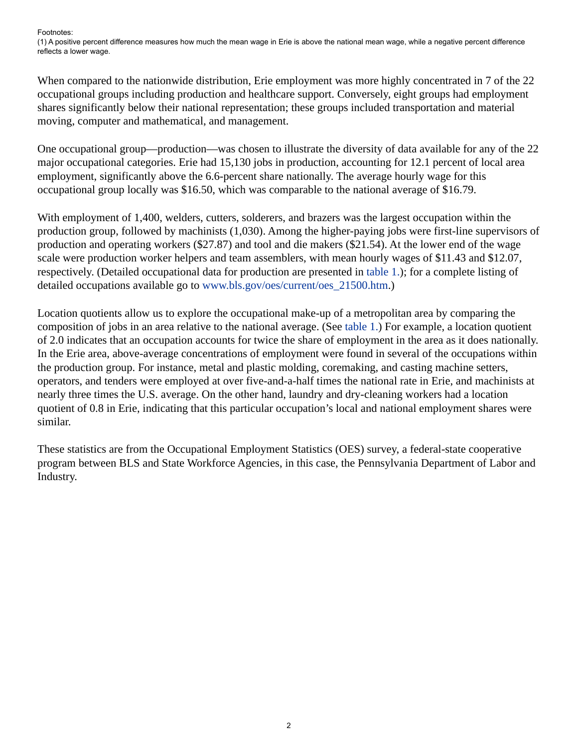<span id="page-1-0"></span>Footnotes:

(1) A positive percent difference measures how much the mean wage in Erie is above the national mean wage, while a negative percent difference reflects a lower wage.

When compared to the nationwide distribution, Erie employment was more highly concentrated in 7 of the 22 occupational groups including production and healthcare support. Conversely, eight groups had employment shares significantly below their national representation; these groups included transportation and material moving, computer and mathematical, and management.

One occupational group—production—was chosen to illustrate the diversity of data available for any of the 22 major occupational categories. Erie had 15,130 jobs in production, accounting for 12.1 percent of local area employment, significantly above the 6.6-percent share nationally. The average hourly wage for this occupational group locally was \$16.50, which was comparable to the national average of \$16.79.

With employment of 1,400, welders, cutters, solderers, and brazers was the largest occupation within the production group, followed by machinists (1,030). Among the higher-paying jobs were first-line supervisors of production and operating workers (\$27.87) and tool and die makers (\$21.54). At the lower end of the wage scale were production worker helpers and team assemblers, with mean hourly wages of \$11.43 and \$12.07, respectively. (Detailed occupational data for production are presented in [table 1.\)](#page-4-0); for a complete listing of detailed occupations available go to [www.bls.gov/oes/current/oes\\_21500.htm](https://www.bls.gov/oes/current/oes_21500.htm).)

Location quotients allow us to explore the occupational make-up of a metropolitan area by comparing the composition of jobs in an area relative to the national average. (See [table 1.\)](#page-4-0) For example, a location quotient of 2.0 indicates that an occupation accounts for twice the share of employment in the area as it does nationally. In the Erie area, above-average concentrations of employment were found in several of the occupations within the production group. For instance, metal and plastic molding, coremaking, and casting machine setters, operators, and tenders were employed at over five-and-a-half times the national rate in Erie, and machinists at nearly three times the U.S. average. On the other hand, laundry and dry-cleaning workers had a location quotient of 0.8 in Erie, indicating that this particular occupation's local and national employment shares were similar.

These statistics are from the Occupational Employment Statistics (OES) survey, a federal-state cooperative program between BLS and State Workforce Agencies, in this case, the Pennsylvania Department of Labor and Industry.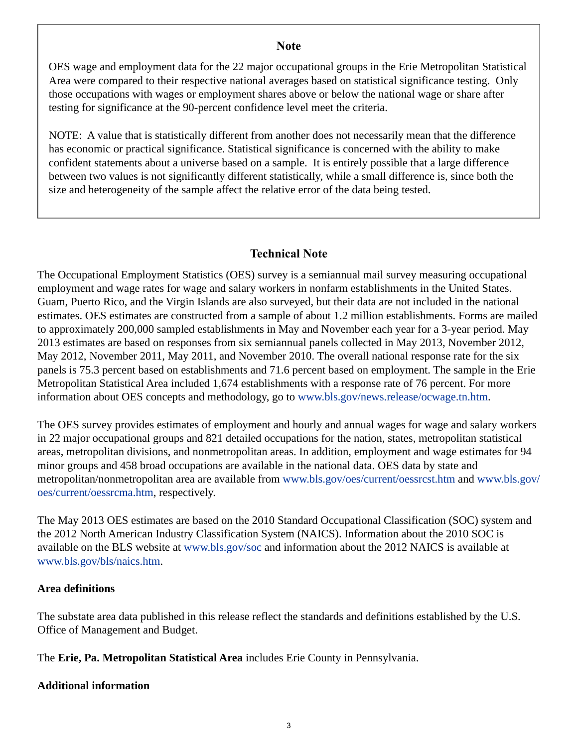## **Note**

OES wage and employment data for the 22 major occupational groups in the Erie Metropolitan Statistical Area were compared to their respective national averages based on statistical significance testing. Only those occupations with wages or employment shares above or below the national wage or share after testing for significance at the 90-percent confidence level meet the criteria.

NOTE: A value that is statistically different from another does not necessarily mean that the difference has economic or practical significance. Statistical significance is concerned with the ability to make confident statements about a universe based on a sample. It is entirely possible that a large difference between two values is not significantly different statistically, while a small difference is, since both the size and heterogeneity of the sample affect the relative error of the data being tested.

## **Technical Note**

The Occupational Employment Statistics (OES) survey is a semiannual mail survey measuring occupational employment and wage rates for wage and salary workers in nonfarm establishments in the United States. Guam, Puerto Rico, and the Virgin Islands are also surveyed, but their data are not included in the national estimates. OES estimates are constructed from a sample of about 1.2 million establishments. Forms are mailed to approximately 200,000 sampled establishments in May and November each year for a 3-year period. May 2013 estimates are based on responses from six semiannual panels collected in May 2013, November 2012, May 2012, November 2011, May 2011, and November 2010. The overall national response rate for the six panels is 75.3 percent based on establishments and 71.6 percent based on employment. The sample in the Erie Metropolitan Statistical Area included 1,674 establishments with a response rate of 76 percent. For more information about OES concepts and methodology, go to [www.bls.gov/news.release/ocwage.tn.htm](https://www.bls.gov/news.release/ocwage.tn.htm).

The OES survey provides estimates of employment and hourly and annual wages for wage and salary workers in 22 major occupational groups and 821 detailed occupations for the nation, states, metropolitan statistical areas, metropolitan divisions, and nonmetropolitan areas. In addition, employment and wage estimates for 94 minor groups and 458 broad occupations are available in the national data. OES data by state and metropolitan/nonmetropolitan area are available from [www.bls.gov/oes/current/oessrcst.htm](https://www.bls.gov/oes/current/oessrcst.htm) and [www.bls.gov/](https://www.bls.gov/oes/current/oessrcma.htm) [oes/current/oessrcma.htm,](https://www.bls.gov/oes/current/oessrcma.htm) respectively.

The May 2013 OES estimates are based on the 2010 Standard Occupational Classification (SOC) system and the 2012 North American Industry Classification System (NAICS). Information about the 2010 SOC is available on the BLS website at [www.bls.gov/soc](https://www.bls.gov/soc) and information about the 2012 NAICS is available at [www.bls.gov/bls/naics.htm.](https://www.bls.gov/bls/naics.htm)

## **Area definitions**

The substate area data published in this release reflect the standards and definitions established by the U.S. Office of Management and Budget.

The **Erie, Pa. Metropolitan Statistical Area** includes Erie County in Pennsylvania.

## **Additional information**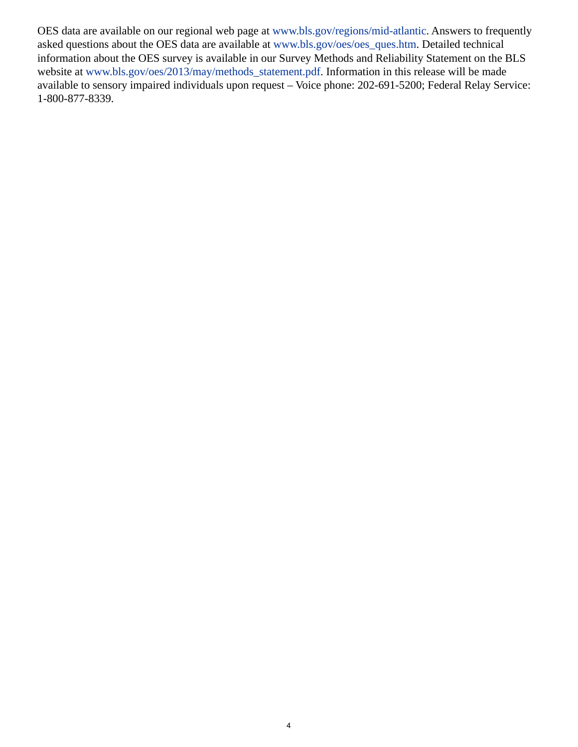OES data are available on our regional web page at [www.bls.gov/regions/mid-atlantic.](https://www.bls.gov/regions/mid-atlantic) Answers to frequently asked questions about the OES data are available at [www.bls.gov/oes/oes\\_ques.htm](https://www.bls.gov/oes/oes_ques.htm). Detailed technical information about the OES survey is available in our Survey Methods and Reliability Statement on the BLS website at [www.bls.gov/oes/2013/may/methods\\_statement.pdf.](https://www.bls.gov/oes/2013/may/methods_statement.pdf) Information in this release will be made available to sensory impaired individuals upon request – Voice phone: 202-691-5200; Federal Relay Service: 1-800-877-8339.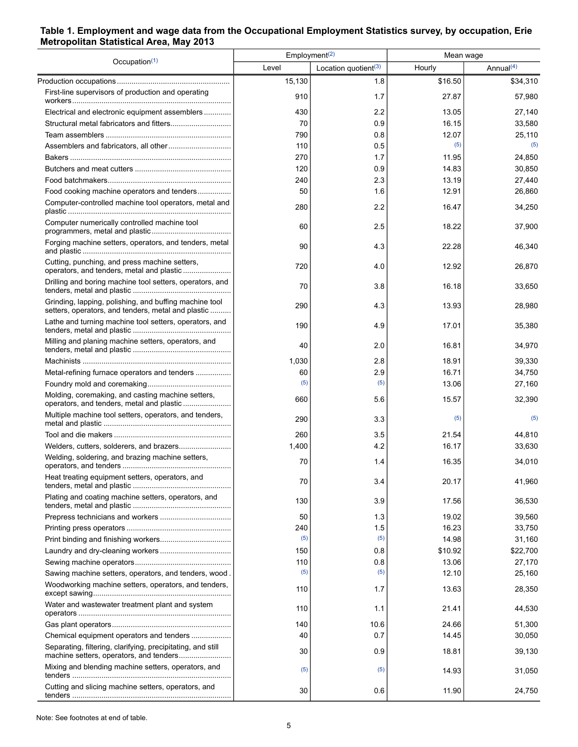### <span id="page-4-0"></span>**Table 1. Employment and wage data from the Occupational Employment Statistics survey, by occupation, Erie Metropolitan Statistical Area, May 2013**

|                                                                                                              | Employment <sup>(2)</sup> |                                  | Mean wage |              |
|--------------------------------------------------------------------------------------------------------------|---------------------------|----------------------------------|-----------|--------------|
| Occupation $(1)$                                                                                             | Level                     | Location quotient <sup>(3)</sup> | Hourly    | Annual $(4)$ |
|                                                                                                              | 15,130                    | 1.8                              | \$16.50   | \$34,310     |
| First-line supervisors of production and operating                                                           | 910                       | 1.7                              | 27.87     | 57,980       |
| Electrical and electronic equipment assemblers                                                               | 430                       | 2.2                              | 13.05     | 27,140       |
|                                                                                                              | 70                        | 0.9                              | 16.15     | 33,580       |
|                                                                                                              | 790                       | 0.8                              | 12.07     | 25,110       |
|                                                                                                              | 110                       | 0.5                              | (5)       | (5)          |
|                                                                                                              | 270                       | 1.7                              | 11.95     | 24,850       |
|                                                                                                              | 120                       | 0.9                              | 14.83     | 30,850       |
|                                                                                                              | 240                       | 2.3                              | 13.19     | 27,440       |
| Food cooking machine operators and tenders                                                                   | 50                        | 1.6                              | 12.91     | 26,860       |
| Computer-controlled machine tool operators, metal and                                                        | 280                       | 2.2                              | 16.47     | 34,250       |
| Computer numerically controlled machine tool                                                                 | 60                        | 2.5                              | 18.22     | 37,900       |
| Forging machine setters, operators, and tenders, metal                                                       | 90                        | 4.3                              | 22.28     | 46,340       |
| Cutting, punching, and press machine setters,<br>operators, and tenders, metal and plastic                   | 720                       | 4.0                              | 12.92     | 26,870       |
| Drilling and boring machine tool setters, operators, and                                                     | 70                        | 3.8                              | 16.18     | 33,650       |
| Grinding, lapping, polishing, and buffing machine tool<br>setters, operators, and tenders, metal and plastic | 290                       | 4.3                              | 13.93     | 28,980       |
| Lathe and turning machine tool setters, operators, and                                                       | 190                       | 4.9                              | 17.01     | 35,380       |
| Milling and planing machine setters, operators, and                                                          | 40                        | 2.0                              | 16.81     | 34,970       |
|                                                                                                              | 1,030                     | 2.8                              | 18.91     | 39,330       |
| Metal-refining furnace operators and tenders                                                                 | 60                        | 2.9                              | 16.71     | 34,750       |
|                                                                                                              | (5)                       | (5)                              | 13.06     | 27,160       |
| Molding, coremaking, and casting machine setters,<br>operators, and tenders, metal and plastic               | 660                       | 5.6                              | 15.57     | 32,390       |
| Multiple machine tool setters, operators, and tenders,                                                       | 290                       | 3.3                              | (5)       | (5)          |
|                                                                                                              | 260                       | 3.5                              | 21.54     | 44,810       |
|                                                                                                              | 1,400                     | 4.2                              | 16.17     | 33,630       |
| Welding, soldering, and brazing machine setters,                                                             | 70                        | 1.4                              | 16.35     | 34,010       |
| Heat treating equipment setters, operators, and                                                              | 70                        | 3.4                              | 20.17     | 41,960       |
| Plating and coating machine setters, operators, and                                                          | 130                       | 3.9                              | 17.56     | 36,530       |
|                                                                                                              | 50                        | 1.3                              | 19.02     | 39,560       |
|                                                                                                              | 240                       | 1.5                              | 16.23     | 33,750       |
|                                                                                                              | (5)                       | (5)                              | 14.98     | 31,160       |
|                                                                                                              | 150                       | 0.8                              | \$10.92   | \$22,700     |
|                                                                                                              | 110                       | 0.8                              | 13.06     | 27,170       |
| Sawing machine setters, operators, and tenders, wood.                                                        | (5)                       | (5)                              | 12.10     | 25,160       |
| Woodworking machine setters, operators, and tenders,                                                         | 110                       | 1.7                              | 13.63     | 28,350       |
| Water and wastewater treatment plant and system                                                              | 110                       | 1.1                              | 21.41     | 44,530       |
|                                                                                                              | 140                       | 10.6                             | 24.66     | 51,300       |
| Chemical equipment operators and tenders                                                                     | 40                        | 0.7                              | 14.45     | 30,050       |
| Separating, filtering, clarifying, precipitating, and still                                                  | 30                        | 0.9                              | 18.81     | 39,130       |
| Mixing and blending machine setters, operators, and                                                          | (5)                       | (5)                              | 14.93     | 31,050       |
| Cutting and slicing machine setters, operators, and                                                          | 30                        | 0.6                              | 11.90     | 24,750       |